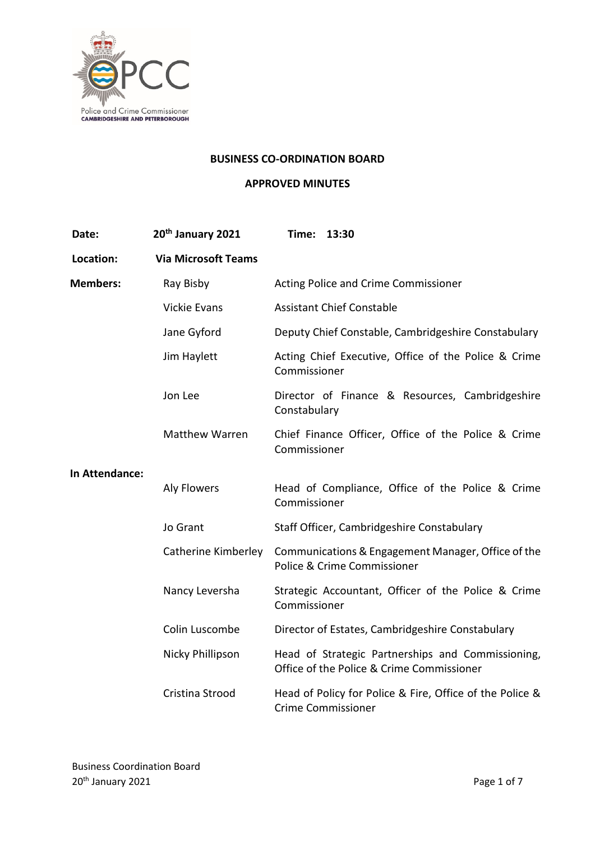

#### **BUSINESS CO-ORDINATION BOARD**

### **APPROVED MINUTES**

| Date:           | 20th January 2021          | Time: 13:30                                                                                    |
|-----------------|----------------------------|------------------------------------------------------------------------------------------------|
| Location:       | <b>Via Microsoft Teams</b> |                                                                                                |
| <b>Members:</b> | Ray Bisby                  | Acting Police and Crime Commissioner                                                           |
|                 | <b>Vickie Evans</b>        | <b>Assistant Chief Constable</b>                                                               |
|                 | Jane Gyford                | Deputy Chief Constable, Cambridgeshire Constabulary                                            |
|                 | Jim Haylett                | Acting Chief Executive, Office of the Police & Crime<br>Commissioner                           |
|                 | Jon Lee                    | Director of Finance & Resources, Cambridgeshire<br>Constabulary                                |
|                 | Matthew Warren             | Chief Finance Officer, Office of the Police & Crime<br>Commissioner                            |
| In Attendance:  | <b>Aly Flowers</b>         | Head of Compliance, Office of the Police & Crime<br>Commissioner                               |
|                 | Jo Grant                   | Staff Officer, Cambridgeshire Constabulary                                                     |
|                 | Catherine Kimberley        | Communications & Engagement Manager, Office of the<br>Police & Crime Commissioner              |
|                 | Nancy Leversha             | Strategic Accountant, Officer of the Police & Crime<br>Commissioner                            |
|                 | Colin Luscombe             | Director of Estates, Cambridgeshire Constabulary                                               |
|                 | Nicky Phillipson           | Head of Strategic Partnerships and Commissioning,<br>Office of the Police & Crime Commissioner |
|                 | Cristina Strood            | Head of Policy for Police & Fire, Office of the Police &<br><b>Crime Commissioner</b>          |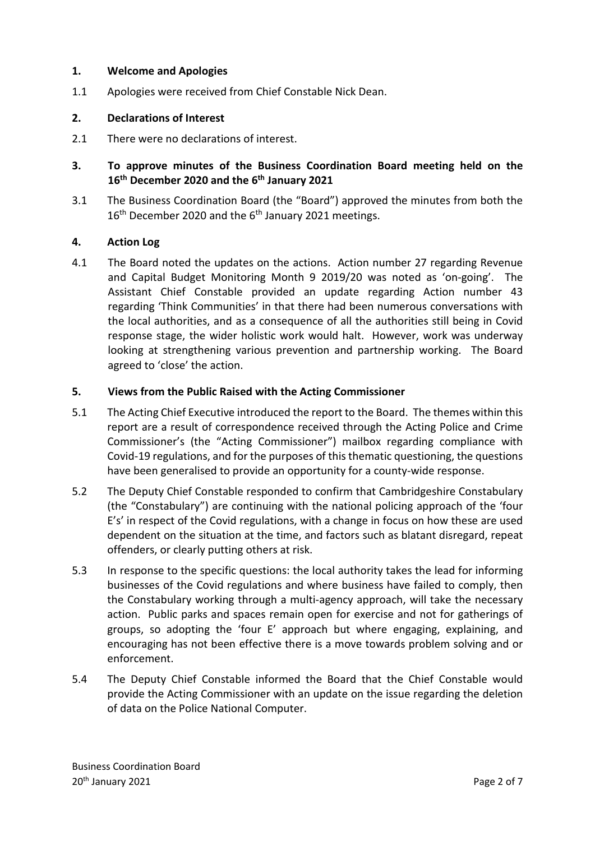#### **1. Welcome and Apologies**

1.1 Apologies were received from Chief Constable Nick Dean.

### **2. Declarations of Interest**

- 2.1 There were no declarations of interest.
- **3. To approve minutes of the Business Coordination Board meeting held on the 16th December 2020 and the 6th January 2021**
- 3.1 The Business Coordination Board (the "Board") approved the minutes from both the 16<sup>th</sup> December 2020 and the 6<sup>th</sup> January 2021 meetings.

### **4. Action Log**

4.1 The Board noted the updates on the actions. Action number 27 regarding Revenue and Capital Budget Monitoring Month 9 2019/20 was noted as 'on-going'. The Assistant Chief Constable provided an update regarding Action number 43 regarding 'Think Communities' in that there had been numerous conversations with the local authorities, and as a consequence of all the authorities still being in Covid response stage, the wider holistic work would halt. However, work was underway looking at strengthening various prevention and partnership working. The Board agreed to 'close' the action.

#### **5. Views from the Public Raised with the Acting Commissioner**

- 5.1 The Acting Chief Executive introduced the report to the Board. The themes within this report are a result of correspondence received through the Acting Police and Crime Commissioner's (the "Acting Commissioner") mailbox regarding compliance with Covid-19 regulations, and for the purposes of this thematic questioning, the questions have been generalised to provide an opportunity for a county-wide response.
- 5.2 The Deputy Chief Constable responded to confirm that Cambridgeshire Constabulary (the "Constabulary") are continuing with the national policing approach of the 'four E's' in respect of the Covid regulations, with a change in focus on how these are used dependent on the situation at the time, and factors such as blatant disregard, repeat offenders, or clearly putting others at risk.
- 5.3 In response to the specific questions: the local authority takes the lead for informing businesses of the Covid regulations and where business have failed to comply, then the Constabulary working through a multi-agency approach, will take the necessary action. Public parks and spaces remain open for exercise and not for gatherings of groups, so adopting the 'four E' approach but where engaging, explaining, and encouraging has not been effective there is a move towards problem solving and or enforcement.
- 5.4 The Deputy Chief Constable informed the Board that the Chief Constable would provide the Acting Commissioner with an update on the issue regarding the deletion of data on the Police National Computer.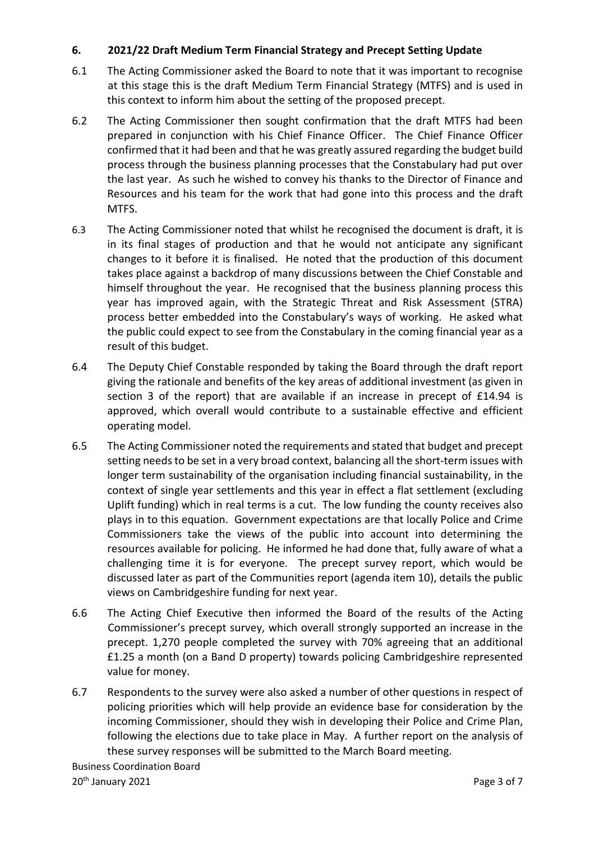# **6. 2021/22 Draft Medium Term Financial Strategy and Precept Setting Update**

- 6.1 The Acting Commissioner asked the Board to note that it was important to recognise at this stage this is the draft Medium Term Financial Strategy (MTFS) and is used in this context to inform him about the setting of the proposed precept.
- 6.2 The Acting Commissioner then sought confirmation that the draft MTFS had been prepared in conjunction with his Chief Finance Officer. The Chief Finance Officer confirmed that it had been and that he was greatly assured regarding the budget build process through the business planning processes that the Constabulary had put over the last year. As such he wished to convey his thanks to the Director of Finance and Resources and his team for the work that had gone into this process and the draft MTFS.
- 6.3 The Acting Commissioner noted that whilst he recognised the document is draft, it is in its final stages of production and that he would not anticipate any significant changes to it before it is finalised. He noted that the production of this document takes place against a backdrop of many discussions between the Chief Constable and himself throughout the year. He recognised that the business planning process this year has improved again, with the Strategic Threat and Risk Assessment (STRA) process better embedded into the Constabulary's ways of working. He asked what the public could expect to see from the Constabulary in the coming financial year as a result of this budget.
- 6.4 The Deputy Chief Constable responded by taking the Board through the draft report giving the rationale and benefits of the key areas of additional investment (as given in section 3 of the report) that are available if an increase in precept of £14.94 is approved, which overall would contribute to a sustainable effective and efficient operating model.
- 6.5 The Acting Commissioner noted the requirements and stated that budget and precept setting needs to be set in a very broad context, balancing all the short-term issues with longer term sustainability of the organisation including financial sustainability, in the context of single year settlements and this year in effect a flat settlement (excluding Uplift funding) which in real terms is a cut. The low funding the county receives also plays in to this equation. Government expectations are that locally Police and Crime Commissioners take the views of the public into account into determining the resources available for policing. He informed he had done that, fully aware of what a challenging time it is for everyone. The precept survey report, which would be discussed later as part of the Communities report (agenda item 10), details the public views on Cambridgeshire funding for next year.
- 6.6 The Acting Chief Executive then informed the Board of the results of the Acting Commissioner's precept survey, which overall strongly supported an increase in the precept. 1,270 people completed the survey with 70% agreeing that an additional £1.25 a month (on a Band D property) towards policing Cambridgeshire represented value for money.
- 6.7 Respondents to the survey were also asked a number of other questions in respect of policing priorities which will help provide an evidence base for consideration by the incoming Commissioner, should they wish in developing their Police and Crime Plan, following the elections due to take place in May. A further report on the analysis of these survey responses will be submitted to the March Board meeting.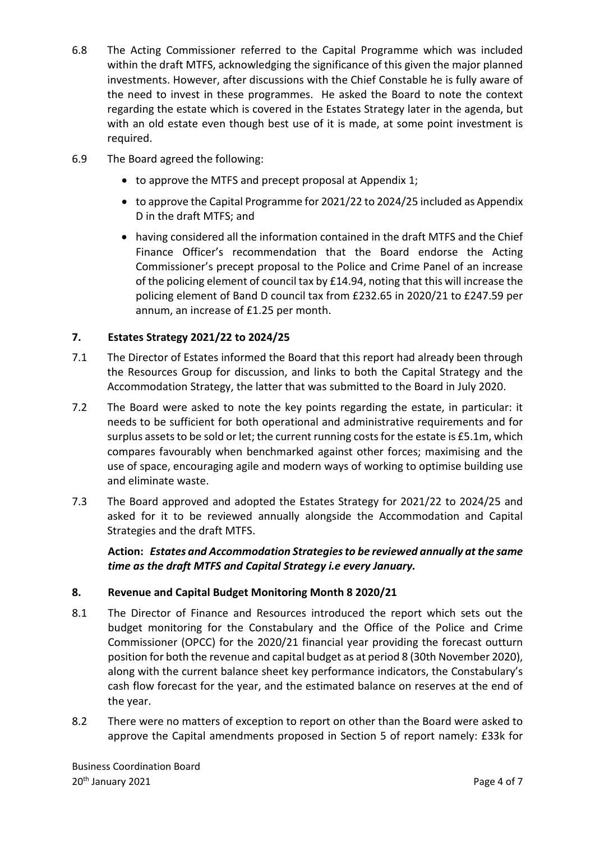- 6.8 The Acting Commissioner referred to the Capital Programme which was included within the draft MTFS, acknowledging the significance of this given the major planned investments. However, after discussions with the Chief Constable he is fully aware of the need to invest in these programmes. He asked the Board to note the context regarding the estate which is covered in the Estates Strategy later in the agenda, but with an old estate even though best use of it is made, at some point investment is required.
- 6.9 The Board agreed the following:
	- to approve the MTFS and precept proposal at Appendix 1;
	- to approve the Capital Programme for 2021/22 to 2024/25 included as Appendix D in the draft MTFS; and
	- having considered all the information contained in the draft MTFS and the Chief Finance Officer's recommendation that the Board endorse the Acting Commissioner's precept proposal to the Police and Crime Panel of an increase of the policing element of council tax by £14.94, noting that this will increase the policing element of Band D council tax from £232.65 in 2020/21 to £247.59 per annum, an increase of £1.25 per month.

# **7. Estates Strategy 2021/22 to 2024/25**

- 7.1 The Director of Estates informed the Board that this report had already been through the Resources Group for discussion, and links to both the Capital Strategy and the Accommodation Strategy, the latter that was submitted to the Board in July 2020.
- 7.2 The Board were asked to note the key points regarding the estate, in particular: it needs to be sufficient for both operational and administrative requirements and for surplus assets to be sold or let; the current running costs for the estate is £5.1m, which compares favourably when benchmarked against other forces; maximising and the use of space, encouraging agile and modern ways of working to optimise building use and eliminate waste.
- 7.3 The Board approved and adopted the Estates Strategy for 2021/22 to 2024/25 and asked for it to be reviewed annually alongside the Accommodation and Capital Strategies and the draft MTFS.

**Action:** *Estates and Accommodation Strategies to be reviewed annually at the same time as the draft MTFS and Capital Strategy i.e every January.* 

# **8. Revenue and Capital Budget Monitoring Month 8 2020/21**

- 8.1 The Director of Finance and Resources introduced the report which sets out the budget monitoring for the Constabulary and the Office of the Police and Crime Commissioner (OPCC) for the 2020/21 financial year providing the forecast outturn position for both the revenue and capital budget as at period 8 (30th November 2020), along with the current balance sheet key performance indicators, the Constabulary's cash flow forecast for the year, and the estimated balance on reserves at the end of the year.
- 8.2 There were no matters of exception to report on other than the Board were asked to approve the Capital amendments proposed in Section 5 of report namely: £33k for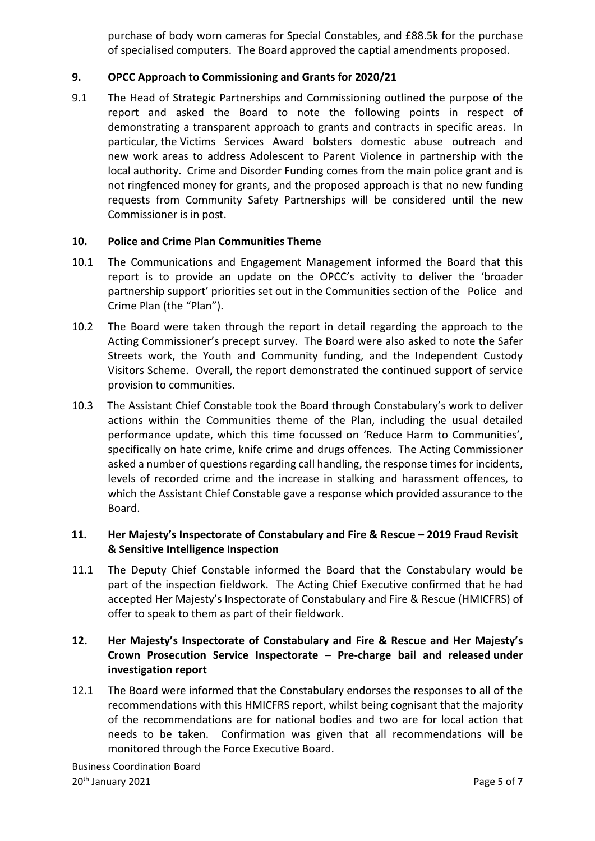purchase of body worn cameras for Special Constables, and £88.5k for the purchase of specialised computers. The Board approved the captial amendments proposed.

# **9. OPCC Approach to Commissioning and Grants for 2020/21**

9.1 The Head of Strategic Partnerships and Commissioning outlined the purpose of the report and asked the Board to note the following points in respect of demonstrating a transparent approach to grants and contracts in specific areas. In particular, the Victims Services Award bolsters domestic abuse outreach and new work areas to address Adolescent to Parent Violence in partnership with the local authority. Crime and Disorder Funding comes from the main police grant and is not ringfenced money for grants, and the proposed approach is that no new funding requests from Community Safety Partnerships will be considered until the new Commissioner is in post.

#### **10. Police and Crime Plan Communities Theme**

- 10.1 The Communications and Engagement Management informed the Board that this report is to provide an update on the OPCC's activity to deliver the 'broader partnership support' priorities set out in the Communities section of the Police and Crime Plan (the "Plan").
- 10.2 The Board were taken through the report in detail regarding the approach to the Acting Commissioner's precept survey. The Board were also asked to note the Safer Streets work, the Youth and Community funding, and the Independent Custody Visitors Scheme. Overall, the report demonstrated the continued support of service provision to communities.
- 10.3 The Assistant Chief Constable took the Board through Constabulary's work to deliver actions within the Communities theme of the Plan, including the usual detailed performance update, which this time focussed on 'Reduce Harm to Communities', specifically on hate crime, knife crime and drugs offences. The Acting Commissioner asked a number of questions regarding call handling, the response times for incidents, levels of recorded crime and the increase in stalking and harassment offences, to which the Assistant Chief Constable gave a response which provided assurance to the Board.

# **11. Her Majesty's Inspectorate of Constabulary and Fire & Rescue – 2019 Fraud Revisit & Sensitive Intelligence Inspection**

11.1 The Deputy Chief Constable informed the Board that the Constabulary would be part of the inspection fieldwork. The Acting Chief Executive confirmed that he had accepted Her Majesty's Inspectorate of Constabulary and Fire & Rescue (HMICFRS) of offer to speak to them as part of their fieldwork.

# **12. Her Majesty's Inspectorate of Constabulary and Fire & Rescue and [Her Majesty's](https://www.justiceinspectorates.gov.uk/hmcpsi/)  [Crown Prosecution Service Inspectorate](https://www.justiceinspectorates.gov.uk/hmcpsi/) – Pre-charge bail and released under investigation report**

12.1 The Board were informed that the Constabulary endorses the responses to all of the recommendations with this HMICFRS report, whilst being cognisant that the majority of the recommendations are for national bodies and two are for local action that needs to be taken. Confirmation was given that all recommendations will be monitored through the Force Executive Board.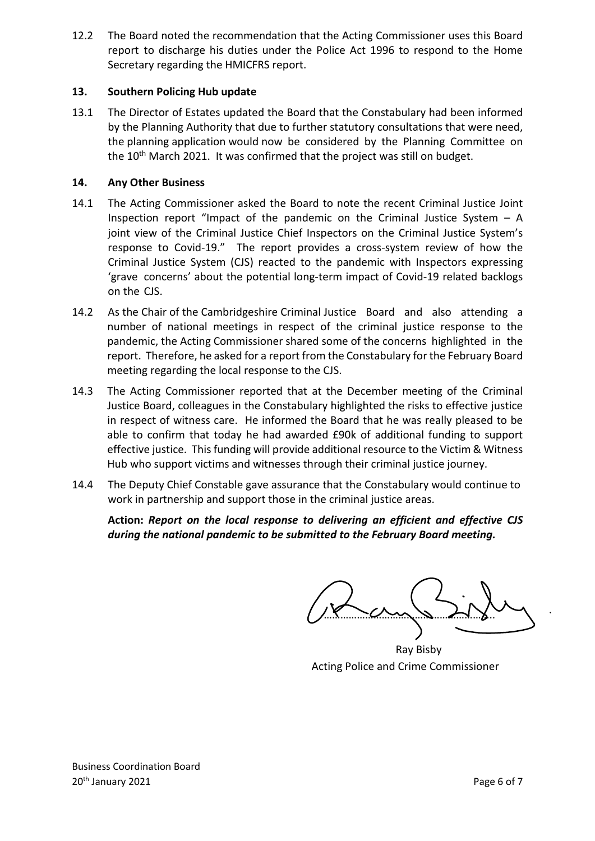12.2 The Board noted the recommendation that the Acting Commissioner uses this Board report to discharge his duties under the Police Act 1996 to respond to the Home Secretary regarding the HMICFRS report.

### **13. Southern Policing Hub update**

13.1 The Director of Estates updated the Board that the Constabulary had been informed by the Planning Authority that due to further statutory consultations that were need, the planning application would now be considered by the Planning Committee on the 10<sup>th</sup> March 2021. It was confirmed that the project was still on budget.

#### **14. Any Other Business**

- 14.1 The Acting Commissioner asked the Board to note the recent Criminal Justice Joint Inspection report "Impact of the pandemic on the Criminal Justice System  $- A$ joint view of the Criminal Justice Chief Inspectors on the Criminal Justice System's response to Covid-19." The report provides a cross-system review of how the Criminal Justice System (CJS) reacted to the pandemic with Inspectors expressing 'grave concerns' about the potential long-term impact of Covid-19 related backlogs on the CJS.
- 14.2 As the Chair of the Cambridgeshire Criminal Justice Board and also attending a number of national meetings in respect of the criminal justice response to the pandemic, the Acting Commissioner shared some of the concerns highlighted in the report. Therefore, he asked for a report from the Constabulary for the February Board meeting regarding the local response to the CJS.
- 14.3 The Acting Commissioner reported that at the December meeting of the Criminal Justice Board, colleagues in the Constabulary highlighted the risks to effective justice in respect of witness care. He informed the Board that he was really pleased to be able to confirm that today he had awarded £90k of additional funding to support effective justice. This funding will provide additional resource to the Victim & Witness Hub who support victims and witnesses through their criminal justice journey.
- 14.4 The Deputy Chief Constable gave assurance that the Constabulary would continue to work in partnership and support those in the criminal justice areas.

**Action:** *Report on the local response to delivering an efficient and effective CJS during the national pandemic to be submitted to the February Board meeting.* 

 $\sim$ 

Ray Bisby Acting Police and Crime Commissioner